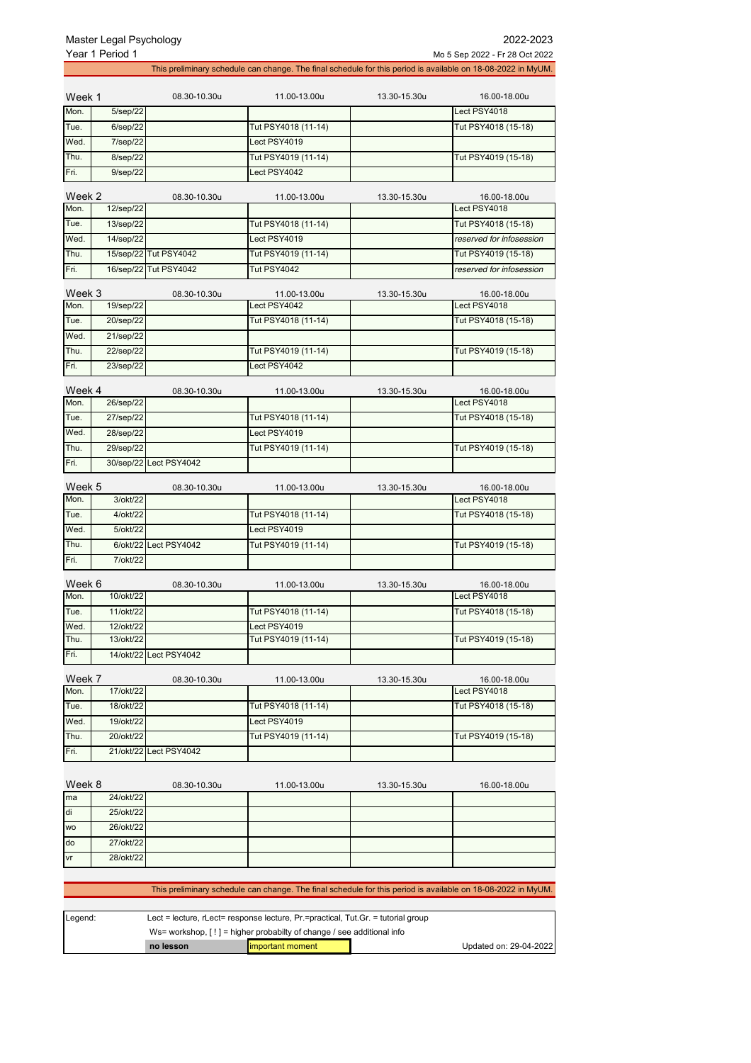| This preliminary schedule can change. The final schedule for this period is available on 18-08-2022 in MyUM.<br>08.30-10.30u<br>11.00-13.00u<br>13.30-15.30u<br>16.00-18.00u<br>Week 1<br>Mon.<br>5/sep/22<br>Lect PSY4018<br>Tue.<br>6/sep/22<br>Tut PSY4018 (11-14)<br>Tut PSY4018 (15-18)<br>Wed.<br>7/sep/22<br>Lect PSY4019<br>Thu.<br>8/sep/22<br>Tut PSY4019 (11-14)<br>Tut PSY4019 (15-18)<br>Fri.<br>9/sep/22<br>Lect PSY4042<br>Week 2<br>08.30-10.30u<br>11.00-13.00u<br>13.30-15.30u<br>16.00-18.00u<br>Mon.<br>12/sep/22<br>Lect PSY4018<br>Tut PSY4018 (11-14)<br>Tue.<br>13/sep/22<br>Tut PSY4018 (15-18)<br>Wed.<br>14/sep/22<br>Lect PSY4019<br>reserved for infosession<br>15/sep/22 Tut PSY4042<br>Tut PSY4019 (11-14)<br>Thu.<br>Tut PSY4019 (15-18)<br>Fri.<br>16/sep/22 Tut PSY4042<br>Tut PSY4042<br>reserved for infosession<br>Week 3<br>08.30-10.30u<br>13.30-15.30u<br>11.00-13.00u<br>16.00-18.00u<br>Mon.<br>19/sep/22<br>Lect PSY4042<br>Lect PSY4018<br>20/sep/22<br>Tut PSY4018 (11-14)<br>Tut PSY4018 (15-18)<br>Tue.<br>21/sep/22<br>Wed.<br>22/sep/22<br>Thu.<br>Tut PSY4019 (11-14)<br>Tut PSY4019 (15-18)<br>23/sep/22<br>Fri.<br>Lect PSY4042<br>Week 4<br>08.30-10.30u<br>11.00-13.00u<br>13.30-15.30u<br>16.00-18.00u<br>Mon.<br>Lect PSY4018<br>26/sep/22<br>Tue.<br>27/sep/22<br>Tut PSY4018 (11-14)<br>Tut PSY4018 (15-18)<br>Wed.<br>Lect PSY4019<br>28/sep/22<br>Thu.<br>29/sep/22<br>Tut PSY4019 (15-18)<br>Tut PSY4019 (11-14)<br>30/sep/22 Lect PSY4042<br>Week 5<br>08.30-10.30u<br>11.00-13.00u<br>13.30-15.30u<br>16.00-18.00u<br>Lect PSY4018<br>3/okt/22<br>4/okt/22<br>Tut PSY4018 (11-14)<br>Tut PSY4018 (15-18)<br>Wed.<br>Lect PSY4019<br>5/okt/22<br>Tut PSY4019 (11-14)<br>6/okt/22<br>Lect PSY4042<br>Tut PSY4019 (15-18)<br>Fri.<br>7/okt/22<br>Week 6<br>08.30-10.30u<br>11.00-13.00u<br>13.30-15.30u<br>16.00-18.00u<br>Lect PSY4018<br>10/okt/22<br>Tue.<br>11/okt/22<br>Tut PSY4018 (11-14)<br>Tut PSY4018 (15-18)<br>Wed.<br>12/okt/22<br>Lect PSY4019<br>Thu.<br>Tut PSY4019 (15-18)<br>13/okt/22<br>Tut PSY4019 (11-14)<br>Fri.<br>14/okt/22<br>Lect PSY4042<br>Week 7<br>08.30-10.30u<br>11.00-13.00u<br>13.30-15.30u<br>16.00-18.00u<br>Mon.<br>Lect PSY4018<br>17/okt/22<br>Tue.<br>Tut PSY4018 (11-14)<br>18/okt/22<br>Tut PSY4018 (15-18)<br>Wed.<br>Lect PSY4019<br>19/okt/22<br>Thu.<br>Tut PSY4019 (11-14)<br>Tut PSY4019 (15-18)<br>20/okt/22<br>Fri.<br>21/okt/22 Lect PSY4042<br>Week 8<br>08.30-10.30u<br>11.00-13.00u<br>13.30-15.30u<br>16.00-18.00u<br>24/okt/22<br>ma<br>di<br>25/okt/22<br>26/okt/22<br><b>WO</b><br>27/okt/22<br>do<br>28/okt/22<br>vr |      | Year 1 Period 1 |  | Mo 5 Sep 2022 - Fr 28 Oct 2022 |
|----------------------------------------------------------------------------------------------------------------------------------------------------------------------------------------------------------------------------------------------------------------------------------------------------------------------------------------------------------------------------------------------------------------------------------------------------------------------------------------------------------------------------------------------------------------------------------------------------------------------------------------------------------------------------------------------------------------------------------------------------------------------------------------------------------------------------------------------------------------------------------------------------------------------------------------------------------------------------------------------------------------------------------------------------------------------------------------------------------------------------------------------------------------------------------------------------------------------------------------------------------------------------------------------------------------------------------------------------------------------------------------------------------------------------------------------------------------------------------------------------------------------------------------------------------------------------------------------------------------------------------------------------------------------------------------------------------------------------------------------------------------------------------------------------------------------------------------------------------------------------------------------------------------------------------------------------------------------------------------------------------------------------------------------------------------------------------------------------------------------------------------------------------------------------------------------------------------------------------------------------------------------------------------------------------------------------------------------------------------------------------------------------------------------------------------------------------------------------------------------------------------------------------------------------------------------------------------------------------------------------------------------|------|-----------------|--|--------------------------------|
|                                                                                                                                                                                                                                                                                                                                                                                                                                                                                                                                                                                                                                                                                                                                                                                                                                                                                                                                                                                                                                                                                                                                                                                                                                                                                                                                                                                                                                                                                                                                                                                                                                                                                                                                                                                                                                                                                                                                                                                                                                                                                                                                                                                                                                                                                                                                                                                                                                                                                                                                                                                                                                              |      |                 |  |                                |
|                                                                                                                                                                                                                                                                                                                                                                                                                                                                                                                                                                                                                                                                                                                                                                                                                                                                                                                                                                                                                                                                                                                                                                                                                                                                                                                                                                                                                                                                                                                                                                                                                                                                                                                                                                                                                                                                                                                                                                                                                                                                                                                                                                                                                                                                                                                                                                                                                                                                                                                                                                                                                                              |      |                 |  |                                |
|                                                                                                                                                                                                                                                                                                                                                                                                                                                                                                                                                                                                                                                                                                                                                                                                                                                                                                                                                                                                                                                                                                                                                                                                                                                                                                                                                                                                                                                                                                                                                                                                                                                                                                                                                                                                                                                                                                                                                                                                                                                                                                                                                                                                                                                                                                                                                                                                                                                                                                                                                                                                                                              |      |                 |  |                                |
|                                                                                                                                                                                                                                                                                                                                                                                                                                                                                                                                                                                                                                                                                                                                                                                                                                                                                                                                                                                                                                                                                                                                                                                                                                                                                                                                                                                                                                                                                                                                                                                                                                                                                                                                                                                                                                                                                                                                                                                                                                                                                                                                                                                                                                                                                                                                                                                                                                                                                                                                                                                                                                              |      |                 |  |                                |
|                                                                                                                                                                                                                                                                                                                                                                                                                                                                                                                                                                                                                                                                                                                                                                                                                                                                                                                                                                                                                                                                                                                                                                                                                                                                                                                                                                                                                                                                                                                                                                                                                                                                                                                                                                                                                                                                                                                                                                                                                                                                                                                                                                                                                                                                                                                                                                                                                                                                                                                                                                                                                                              |      |                 |  |                                |
|                                                                                                                                                                                                                                                                                                                                                                                                                                                                                                                                                                                                                                                                                                                                                                                                                                                                                                                                                                                                                                                                                                                                                                                                                                                                                                                                                                                                                                                                                                                                                                                                                                                                                                                                                                                                                                                                                                                                                                                                                                                                                                                                                                                                                                                                                                                                                                                                                                                                                                                                                                                                                                              |      |                 |  |                                |
|                                                                                                                                                                                                                                                                                                                                                                                                                                                                                                                                                                                                                                                                                                                                                                                                                                                                                                                                                                                                                                                                                                                                                                                                                                                                                                                                                                                                                                                                                                                                                                                                                                                                                                                                                                                                                                                                                                                                                                                                                                                                                                                                                                                                                                                                                                                                                                                                                                                                                                                                                                                                                                              |      |                 |  |                                |
|                                                                                                                                                                                                                                                                                                                                                                                                                                                                                                                                                                                                                                                                                                                                                                                                                                                                                                                                                                                                                                                                                                                                                                                                                                                                                                                                                                                                                                                                                                                                                                                                                                                                                                                                                                                                                                                                                                                                                                                                                                                                                                                                                                                                                                                                                                                                                                                                                                                                                                                                                                                                                                              |      |                 |  |                                |
|                                                                                                                                                                                                                                                                                                                                                                                                                                                                                                                                                                                                                                                                                                                                                                                                                                                                                                                                                                                                                                                                                                                                                                                                                                                                                                                                                                                                                                                                                                                                                                                                                                                                                                                                                                                                                                                                                                                                                                                                                                                                                                                                                                                                                                                                                                                                                                                                                                                                                                                                                                                                                                              |      |                 |  |                                |
|                                                                                                                                                                                                                                                                                                                                                                                                                                                                                                                                                                                                                                                                                                                                                                                                                                                                                                                                                                                                                                                                                                                                                                                                                                                                                                                                                                                                                                                                                                                                                                                                                                                                                                                                                                                                                                                                                                                                                                                                                                                                                                                                                                                                                                                                                                                                                                                                                                                                                                                                                                                                                                              |      |                 |  |                                |
|                                                                                                                                                                                                                                                                                                                                                                                                                                                                                                                                                                                                                                                                                                                                                                                                                                                                                                                                                                                                                                                                                                                                                                                                                                                                                                                                                                                                                                                                                                                                                                                                                                                                                                                                                                                                                                                                                                                                                                                                                                                                                                                                                                                                                                                                                                                                                                                                                                                                                                                                                                                                                                              |      |                 |  |                                |
|                                                                                                                                                                                                                                                                                                                                                                                                                                                                                                                                                                                                                                                                                                                                                                                                                                                                                                                                                                                                                                                                                                                                                                                                                                                                                                                                                                                                                                                                                                                                                                                                                                                                                                                                                                                                                                                                                                                                                                                                                                                                                                                                                                                                                                                                                                                                                                                                                                                                                                                                                                                                                                              |      |                 |  |                                |
|                                                                                                                                                                                                                                                                                                                                                                                                                                                                                                                                                                                                                                                                                                                                                                                                                                                                                                                                                                                                                                                                                                                                                                                                                                                                                                                                                                                                                                                                                                                                                                                                                                                                                                                                                                                                                                                                                                                                                                                                                                                                                                                                                                                                                                                                                                                                                                                                                                                                                                                                                                                                                                              |      |                 |  |                                |
|                                                                                                                                                                                                                                                                                                                                                                                                                                                                                                                                                                                                                                                                                                                                                                                                                                                                                                                                                                                                                                                                                                                                                                                                                                                                                                                                                                                                                                                                                                                                                                                                                                                                                                                                                                                                                                                                                                                                                                                                                                                                                                                                                                                                                                                                                                                                                                                                                                                                                                                                                                                                                                              |      |                 |  |                                |
|                                                                                                                                                                                                                                                                                                                                                                                                                                                                                                                                                                                                                                                                                                                                                                                                                                                                                                                                                                                                                                                                                                                                                                                                                                                                                                                                                                                                                                                                                                                                                                                                                                                                                                                                                                                                                                                                                                                                                                                                                                                                                                                                                                                                                                                                                                                                                                                                                                                                                                                                                                                                                                              |      |                 |  |                                |
|                                                                                                                                                                                                                                                                                                                                                                                                                                                                                                                                                                                                                                                                                                                                                                                                                                                                                                                                                                                                                                                                                                                                                                                                                                                                                                                                                                                                                                                                                                                                                                                                                                                                                                                                                                                                                                                                                                                                                                                                                                                                                                                                                                                                                                                                                                                                                                                                                                                                                                                                                                                                                                              |      |                 |  |                                |
|                                                                                                                                                                                                                                                                                                                                                                                                                                                                                                                                                                                                                                                                                                                                                                                                                                                                                                                                                                                                                                                                                                                                                                                                                                                                                                                                                                                                                                                                                                                                                                                                                                                                                                                                                                                                                                                                                                                                                                                                                                                                                                                                                                                                                                                                                                                                                                                                                                                                                                                                                                                                                                              |      |                 |  |                                |
|                                                                                                                                                                                                                                                                                                                                                                                                                                                                                                                                                                                                                                                                                                                                                                                                                                                                                                                                                                                                                                                                                                                                                                                                                                                                                                                                                                                                                                                                                                                                                                                                                                                                                                                                                                                                                                                                                                                                                                                                                                                                                                                                                                                                                                                                                                                                                                                                                                                                                                                                                                                                                                              |      |                 |  |                                |
|                                                                                                                                                                                                                                                                                                                                                                                                                                                                                                                                                                                                                                                                                                                                                                                                                                                                                                                                                                                                                                                                                                                                                                                                                                                                                                                                                                                                                                                                                                                                                                                                                                                                                                                                                                                                                                                                                                                                                                                                                                                                                                                                                                                                                                                                                                                                                                                                                                                                                                                                                                                                                                              |      |                 |  |                                |
|                                                                                                                                                                                                                                                                                                                                                                                                                                                                                                                                                                                                                                                                                                                                                                                                                                                                                                                                                                                                                                                                                                                                                                                                                                                                                                                                                                                                                                                                                                                                                                                                                                                                                                                                                                                                                                                                                                                                                                                                                                                                                                                                                                                                                                                                                                                                                                                                                                                                                                                                                                                                                                              |      |                 |  |                                |
|                                                                                                                                                                                                                                                                                                                                                                                                                                                                                                                                                                                                                                                                                                                                                                                                                                                                                                                                                                                                                                                                                                                                                                                                                                                                                                                                                                                                                                                                                                                                                                                                                                                                                                                                                                                                                                                                                                                                                                                                                                                                                                                                                                                                                                                                                                                                                                                                                                                                                                                                                                                                                                              |      |                 |  |                                |
|                                                                                                                                                                                                                                                                                                                                                                                                                                                                                                                                                                                                                                                                                                                                                                                                                                                                                                                                                                                                                                                                                                                                                                                                                                                                                                                                                                                                                                                                                                                                                                                                                                                                                                                                                                                                                                                                                                                                                                                                                                                                                                                                                                                                                                                                                                                                                                                                                                                                                                                                                                                                                                              |      |                 |  |                                |
|                                                                                                                                                                                                                                                                                                                                                                                                                                                                                                                                                                                                                                                                                                                                                                                                                                                                                                                                                                                                                                                                                                                                                                                                                                                                                                                                                                                                                                                                                                                                                                                                                                                                                                                                                                                                                                                                                                                                                                                                                                                                                                                                                                                                                                                                                                                                                                                                                                                                                                                                                                                                                                              |      |                 |  |                                |
|                                                                                                                                                                                                                                                                                                                                                                                                                                                                                                                                                                                                                                                                                                                                                                                                                                                                                                                                                                                                                                                                                                                                                                                                                                                                                                                                                                                                                                                                                                                                                                                                                                                                                                                                                                                                                                                                                                                                                                                                                                                                                                                                                                                                                                                                                                                                                                                                                                                                                                                                                                                                                                              |      |                 |  |                                |
|                                                                                                                                                                                                                                                                                                                                                                                                                                                                                                                                                                                                                                                                                                                                                                                                                                                                                                                                                                                                                                                                                                                                                                                                                                                                                                                                                                                                                                                                                                                                                                                                                                                                                                                                                                                                                                                                                                                                                                                                                                                                                                                                                                                                                                                                                                                                                                                                                                                                                                                                                                                                                                              | Fri. |                 |  |                                |
|                                                                                                                                                                                                                                                                                                                                                                                                                                                                                                                                                                                                                                                                                                                                                                                                                                                                                                                                                                                                                                                                                                                                                                                                                                                                                                                                                                                                                                                                                                                                                                                                                                                                                                                                                                                                                                                                                                                                                                                                                                                                                                                                                                                                                                                                                                                                                                                                                                                                                                                                                                                                                                              |      |                 |  |                                |
|                                                                                                                                                                                                                                                                                                                                                                                                                                                                                                                                                                                                                                                                                                                                                                                                                                                                                                                                                                                                                                                                                                                                                                                                                                                                                                                                                                                                                                                                                                                                                                                                                                                                                                                                                                                                                                                                                                                                                                                                                                                                                                                                                                                                                                                                                                                                                                                                                                                                                                                                                                                                                                              | Mon. |                 |  |                                |
|                                                                                                                                                                                                                                                                                                                                                                                                                                                                                                                                                                                                                                                                                                                                                                                                                                                                                                                                                                                                                                                                                                                                                                                                                                                                                                                                                                                                                                                                                                                                                                                                                                                                                                                                                                                                                                                                                                                                                                                                                                                                                                                                                                                                                                                                                                                                                                                                                                                                                                                                                                                                                                              | Tue. |                 |  |                                |
|                                                                                                                                                                                                                                                                                                                                                                                                                                                                                                                                                                                                                                                                                                                                                                                                                                                                                                                                                                                                                                                                                                                                                                                                                                                                                                                                                                                                                                                                                                                                                                                                                                                                                                                                                                                                                                                                                                                                                                                                                                                                                                                                                                                                                                                                                                                                                                                                                                                                                                                                                                                                                                              |      |                 |  |                                |
|                                                                                                                                                                                                                                                                                                                                                                                                                                                                                                                                                                                                                                                                                                                                                                                                                                                                                                                                                                                                                                                                                                                                                                                                                                                                                                                                                                                                                                                                                                                                                                                                                                                                                                                                                                                                                                                                                                                                                                                                                                                                                                                                                                                                                                                                                                                                                                                                                                                                                                                                                                                                                                              | Thu. |                 |  |                                |
|                                                                                                                                                                                                                                                                                                                                                                                                                                                                                                                                                                                                                                                                                                                                                                                                                                                                                                                                                                                                                                                                                                                                                                                                                                                                                                                                                                                                                                                                                                                                                                                                                                                                                                                                                                                                                                                                                                                                                                                                                                                                                                                                                                                                                                                                                                                                                                                                                                                                                                                                                                                                                                              |      |                 |  |                                |
|                                                                                                                                                                                                                                                                                                                                                                                                                                                                                                                                                                                                                                                                                                                                                                                                                                                                                                                                                                                                                                                                                                                                                                                                                                                                                                                                                                                                                                                                                                                                                                                                                                                                                                                                                                                                                                                                                                                                                                                                                                                                                                                                                                                                                                                                                                                                                                                                                                                                                                                                                                                                                                              |      |                 |  |                                |
|                                                                                                                                                                                                                                                                                                                                                                                                                                                                                                                                                                                                                                                                                                                                                                                                                                                                                                                                                                                                                                                                                                                                                                                                                                                                                                                                                                                                                                                                                                                                                                                                                                                                                                                                                                                                                                                                                                                                                                                                                                                                                                                                                                                                                                                                                                                                                                                                                                                                                                                                                                                                                                              | Mon. |                 |  |                                |
|                                                                                                                                                                                                                                                                                                                                                                                                                                                                                                                                                                                                                                                                                                                                                                                                                                                                                                                                                                                                                                                                                                                                                                                                                                                                                                                                                                                                                                                                                                                                                                                                                                                                                                                                                                                                                                                                                                                                                                                                                                                                                                                                                                                                                                                                                                                                                                                                                                                                                                                                                                                                                                              |      |                 |  |                                |
|                                                                                                                                                                                                                                                                                                                                                                                                                                                                                                                                                                                                                                                                                                                                                                                                                                                                                                                                                                                                                                                                                                                                                                                                                                                                                                                                                                                                                                                                                                                                                                                                                                                                                                                                                                                                                                                                                                                                                                                                                                                                                                                                                                                                                                                                                                                                                                                                                                                                                                                                                                                                                                              |      |                 |  |                                |
|                                                                                                                                                                                                                                                                                                                                                                                                                                                                                                                                                                                                                                                                                                                                                                                                                                                                                                                                                                                                                                                                                                                                                                                                                                                                                                                                                                                                                                                                                                                                                                                                                                                                                                                                                                                                                                                                                                                                                                                                                                                                                                                                                                                                                                                                                                                                                                                                                                                                                                                                                                                                                                              |      |                 |  |                                |
|                                                                                                                                                                                                                                                                                                                                                                                                                                                                                                                                                                                                                                                                                                                                                                                                                                                                                                                                                                                                                                                                                                                                                                                                                                                                                                                                                                                                                                                                                                                                                                                                                                                                                                                                                                                                                                                                                                                                                                                                                                                                                                                                                                                                                                                                                                                                                                                                                                                                                                                                                                                                                                              |      |                 |  |                                |
|                                                                                                                                                                                                                                                                                                                                                                                                                                                                                                                                                                                                                                                                                                                                                                                                                                                                                                                                                                                                                                                                                                                                                                                                                                                                                                                                                                                                                                                                                                                                                                                                                                                                                                                                                                                                                                                                                                                                                                                                                                                                                                                                                                                                                                                                                                                                                                                                                                                                                                                                                                                                                                              |      |                 |  |                                |
|                                                                                                                                                                                                                                                                                                                                                                                                                                                                                                                                                                                                                                                                                                                                                                                                                                                                                                                                                                                                                                                                                                                                                                                                                                                                                                                                                                                                                                                                                                                                                                                                                                                                                                                                                                                                                                                                                                                                                                                                                                                                                                                                                                                                                                                                                                                                                                                                                                                                                                                                                                                                                                              |      |                 |  |                                |
|                                                                                                                                                                                                                                                                                                                                                                                                                                                                                                                                                                                                                                                                                                                                                                                                                                                                                                                                                                                                                                                                                                                                                                                                                                                                                                                                                                                                                                                                                                                                                                                                                                                                                                                                                                                                                                                                                                                                                                                                                                                                                                                                                                                                                                                                                                                                                                                                                                                                                                                                                                                                                                              |      |                 |  |                                |
|                                                                                                                                                                                                                                                                                                                                                                                                                                                                                                                                                                                                                                                                                                                                                                                                                                                                                                                                                                                                                                                                                                                                                                                                                                                                                                                                                                                                                                                                                                                                                                                                                                                                                                                                                                                                                                                                                                                                                                                                                                                                                                                                                                                                                                                                                                                                                                                                                                                                                                                                                                                                                                              |      |                 |  |                                |
|                                                                                                                                                                                                                                                                                                                                                                                                                                                                                                                                                                                                                                                                                                                                                                                                                                                                                                                                                                                                                                                                                                                                                                                                                                                                                                                                                                                                                                                                                                                                                                                                                                                                                                                                                                                                                                                                                                                                                                                                                                                                                                                                                                                                                                                                                                                                                                                                                                                                                                                                                                                                                                              |      |                 |  |                                |
|                                                                                                                                                                                                                                                                                                                                                                                                                                                                                                                                                                                                                                                                                                                                                                                                                                                                                                                                                                                                                                                                                                                                                                                                                                                                                                                                                                                                                                                                                                                                                                                                                                                                                                                                                                                                                                                                                                                                                                                                                                                                                                                                                                                                                                                                                                                                                                                                                                                                                                                                                                                                                                              |      |                 |  |                                |
|                                                                                                                                                                                                                                                                                                                                                                                                                                                                                                                                                                                                                                                                                                                                                                                                                                                                                                                                                                                                                                                                                                                                                                                                                                                                                                                                                                                                                                                                                                                                                                                                                                                                                                                                                                                                                                                                                                                                                                                                                                                                                                                                                                                                                                                                                                                                                                                                                                                                                                                                                                                                                                              |      |                 |  |                                |
|                                                                                                                                                                                                                                                                                                                                                                                                                                                                                                                                                                                                                                                                                                                                                                                                                                                                                                                                                                                                                                                                                                                                                                                                                                                                                                                                                                                                                                                                                                                                                                                                                                                                                                                                                                                                                                                                                                                                                                                                                                                                                                                                                                                                                                                                                                                                                                                                                                                                                                                                                                                                                                              |      |                 |  |                                |
|                                                                                                                                                                                                                                                                                                                                                                                                                                                                                                                                                                                                                                                                                                                                                                                                                                                                                                                                                                                                                                                                                                                                                                                                                                                                                                                                                                                                                                                                                                                                                                                                                                                                                                                                                                                                                                                                                                                                                                                                                                                                                                                                                                                                                                                                                                                                                                                                                                                                                                                                                                                                                                              |      |                 |  |                                |
|                                                                                                                                                                                                                                                                                                                                                                                                                                                                                                                                                                                                                                                                                                                                                                                                                                                                                                                                                                                                                                                                                                                                                                                                                                                                                                                                                                                                                                                                                                                                                                                                                                                                                                                                                                                                                                                                                                                                                                                                                                                                                                                                                                                                                                                                                                                                                                                                                                                                                                                                                                                                                                              |      |                 |  |                                |
|                                                                                                                                                                                                                                                                                                                                                                                                                                                                                                                                                                                                                                                                                                                                                                                                                                                                                                                                                                                                                                                                                                                                                                                                                                                                                                                                                                                                                                                                                                                                                                                                                                                                                                                                                                                                                                                                                                                                                                                                                                                                                                                                                                                                                                                                                                                                                                                                                                                                                                                                                                                                                                              |      |                 |  |                                |
|                                                                                                                                                                                                                                                                                                                                                                                                                                                                                                                                                                                                                                                                                                                                                                                                                                                                                                                                                                                                                                                                                                                                                                                                                                                                                                                                                                                                                                                                                                                                                                                                                                                                                                                                                                                                                                                                                                                                                                                                                                                                                                                                                                                                                                                                                                                                                                                                                                                                                                                                                                                                                                              |      |                 |  |                                |
|                                                                                                                                                                                                                                                                                                                                                                                                                                                                                                                                                                                                                                                                                                                                                                                                                                                                                                                                                                                                                                                                                                                                                                                                                                                                                                                                                                                                                                                                                                                                                                                                                                                                                                                                                                                                                                                                                                                                                                                                                                                                                                                                                                                                                                                                                                                                                                                                                                                                                                                                                                                                                                              |      |                 |  |                                |

This preliminary schedule can change. The final schedule for this period is available on 18-08-2022 in MyUM.

| Legend: | Lect = lecture, $r$ Lect = response lecture, $Pr$ = practical, Tut. Gr. = tutorial group |                   |  |                        |
|---------|------------------------------------------------------------------------------------------|-------------------|--|------------------------|
|         | Ws= workshop, $[!]$ = higher probabilty of change / see additional info                  |                   |  |                        |
|         | no lesson                                                                                | limportant moment |  | Updated on: 29-04-2022 |